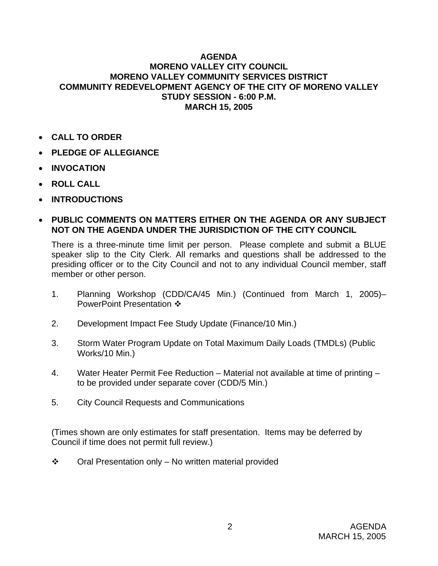## **AGENDA MORENO VALLEY CITY COUNCIL MORENO VALLEY COMMUNITY SERVICES DISTRICT COMMUNITY REDEVELOPMENT AGENCY OF THE CITY OF MORENO VALLEY STUDY SESSION - 6:00 P.M. MARCH 15, 2005**

- **CALL TO ORDER**
- **PLEDGE OF ALLEGIANCE**
- **INVOCATION**
- **ROLL CALL**
- **INTRODUCTIONS**
- **PUBLIC COMMENTS ON MATTERS EITHER ON THE AGENDA OR ANY SUBJECT NOT ON THE AGENDA UNDER THE JURISDICTION OF THE CITY COUNCIL**

There is a three-minute time limit per person. Please complete and submit a BLUE speaker slip to the City Clerk. All remarks and questions shall be addressed to the presiding officer or to the City Council and not to any individual Council member, staff member or other person.

- 1. Planning Workshop (CDD/CA/45 Min.) (Continued from March 1, 2005)– **PowerPoint Presentation ❖**
- 2. Development Impact Fee Study Update (Finance/10 Min.)
- 3. Storm Water Program Update on Total Maximum Daily Loads (TMDLs) (Public Works/10 Min.)
- 4. Water Heater Permit Fee Reduction Material not available at time of printing to be provided under separate cover (CDD/5 Min.)
- 5. City Council Requests and Communications

(Times shown are only estimates for staff presentation. Items may be deferred by Council if time does not permit full review.)

 $\div$  Oral Presentation only – No written material provided